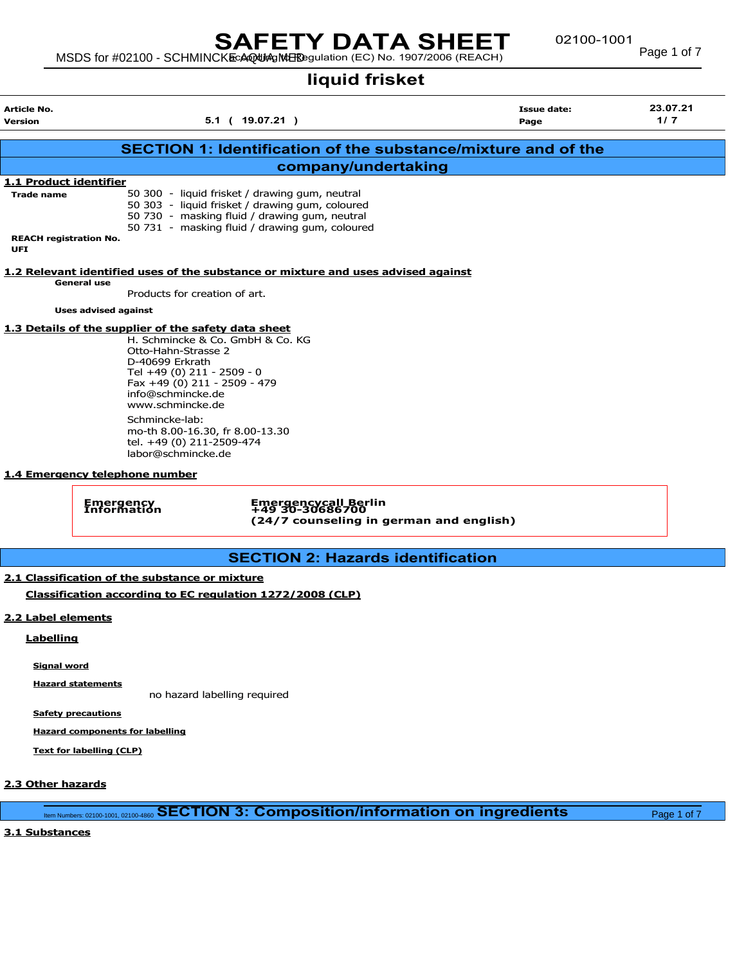# SAFETY DATA SHEET

## liquid frisket

MSDS for #02100 - SCHMINCKE AQUA MEDIC IN THE CONSTRUCTION CONTROL PROCESS Page 1 of 7

Article No. Issue date: 23.07.21 Version 5.1 ( 19.07.21 ) Page 1/ 7 SECTION 1: Identification of the substance/mixture and of the company/undertaking 1.1 Product identifier Trade name 50 300 - liquid frisket / drawing gum, neutral 50 303 - liquid frisket / drawing gum, coloured 50 730 - masking fluid / drawing gum, neutral 50 731 - masking fluid / drawing gum, coloured REACH registration No.

#### 1.2 Relevant identified uses of the substance or mixture and uses advised against General use

Products for creation of art.

Uses advised against

UFI

## 1.3 Details of the supplier of the safety data sheet

H. Schmincke & Co. GmbH & Co. KG Otto-Hahn-Strasse 2 D-40699 Erkrath Tel +49 (0) 211 - 2509 - 0 Fax +49 (0) 211 - 2509 - 479 info@schmincke.de www.schmincke.de Schmincke-lab: mo-th 8.00-16.30, fr 8.00-13.30 tel. +49 (0) 211-2509-474 labor@schmincke.de

#### 1.4 Emergency telephone number

Emergency Emergencycall Berlin Information +49 30-30686700 (24/7 counseling in german and english)

## SECTION 2: Hazards identification

## 2.1 Classification of the substance or mixture Classification according to EC regulation 1272/2008 (CLP)

#### 2.2 Label elements

**Labelling** 

Signal word

Hazard statements

no hazard labelling required

Safety precautions

Hazard components for labelling

Text for labelling (CLP)

#### 2.3 Other hazards

Item Numbers: 02100-1001, 02100-4860 SECTION 3: Composition/information on ingredients Page 1 of 7

## 3.1 Substances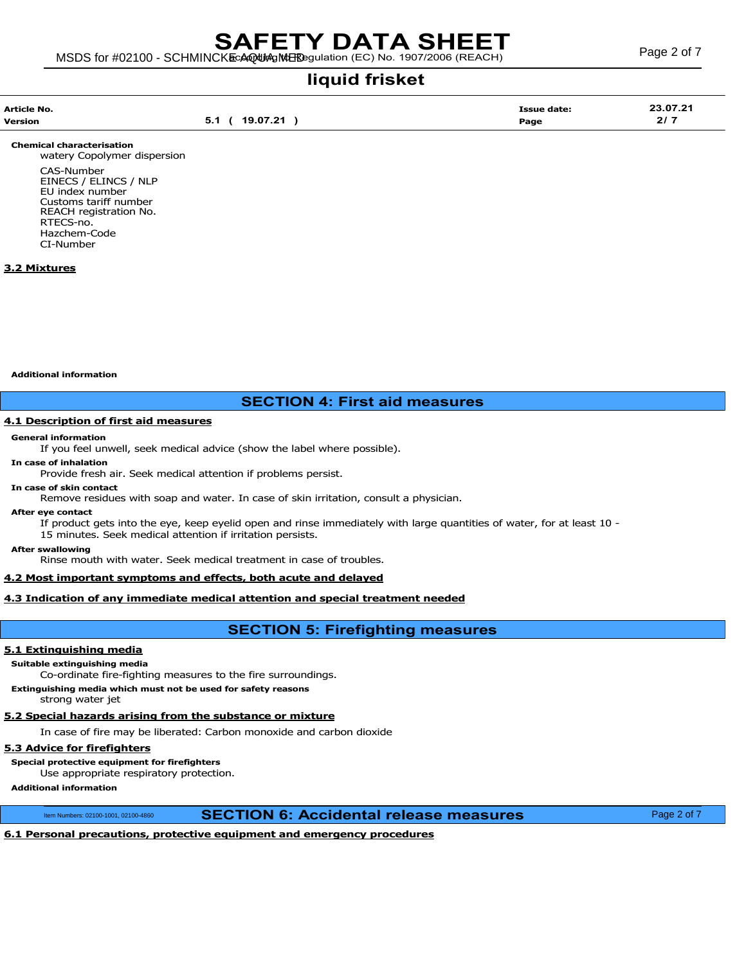liquid frisket

| Article No. |                                    | Issue date: | 23.07.21 |
|-------------|------------------------------------|-------------|----------|
| Version     | 19.07.21<br><u>่อ. เ</u><br>$\sim$ | Page        | .        |

Chemical characterisation

watery Copolymer dispersion CAS-Number EINECS / ELINCS / NLP EU index number Customs tariff number REACH registration No. RTECS-no. Hazchem-Code CI-Number

## 3.2 Mixtures

Additional information

## SECTION 4: First aid measures

## 4.1 Description of first aid measures

#### General information

If you feel unwell, seek medical advice (show the label where possible).

#### In case of inhalation

Provide fresh air. Seek medical attention if problems persist.

In case of skin contact

Remove residues with soap and water. In case of skin irritation, consult a physician.

After eye contact

If product gets into the eye, keep eyelid open and rinse immediately with large quantities of water, for at least 10 - 15 minutes. Seek medical attention if irritation persists.

#### After swallowing

Rinse mouth with water. Seek medical treatment in case of troubles.

#### 4.2 Most important symptoms and effects, both acute and delayed

#### 4.3 Indication of any immediate medical attention and special treatment needed

## SECTION 5: Firefighting measures

### 5.1 Extinguishing media

Suitable extinguishing media

Co-ordinate fire-fighting measures to the fire surroundings.

Extinguishing media which must not be used for safety reasons

strong water jet

## 5.2 Special hazards arising from the substance or mixture

In case of fire may be liberated: Carbon monoxide and carbon dioxide

## 5.3 Advice for firefighters

Special protective equipment for firefighters

Use appropriate respiratory protection.

## Additional information

Item Numbers: 02100-1001, 02100-4860 **SECTION 6: Accidental release measures** Page 2 of 7

## 6.1 Personal precautions, protective equipment and emergency procedures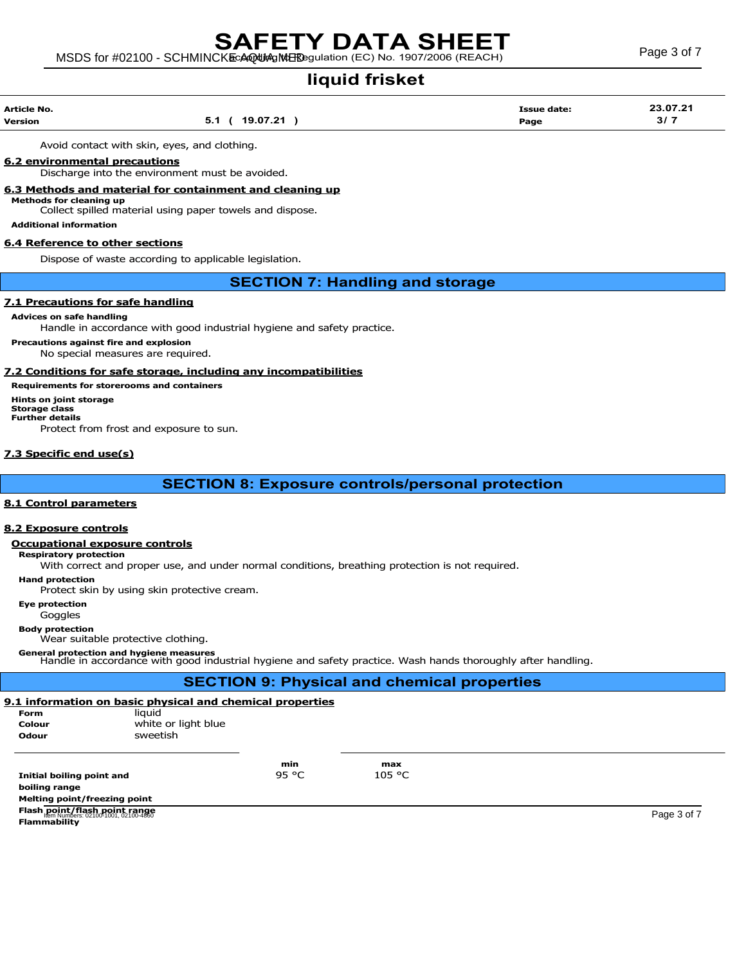## MSDS for #02100 - SCHMINCKE AQUA MERE SURFACE C) No. 1907/2006 (REACH) Page 3 of 7 SAFETY DATA SHEET

liquid frisket

| Article No. |                | <b>Issue date:</b> | 23.07.21 |
|-------------|----------------|--------------------|----------|
| Version     | 5.1 ( 19.07.21 | Page               | 31.      |

Avoid contact with skin, eyes, and clothing.

### 6.2 environmental precautions

Discharge into the environment must be avoided.

#### 6.3 Methods and material for containment and cleaning up

Methods for cleaning up

Collect spilled material using paper towels and dispose.

## Additional information

#### 6.4 Reference to other sections

Dispose of waste according to applicable legislation.

## SECTION 7: Handling and storage

### 7.1 Precautions for safe handling

Advices on safe handling

Handle in accordance with good industrial hygiene and safety practice.

Precautions against fire and explosion

No special measures are required.

#### 7.2 Conditions for safe storage, including any incompatibilities

Requirements for storerooms and containers Hints on joint storage Storage class Further details Protect from frost and exposure to sun.

#### 7.3 Specific end use(s)

SECTION 8: Exposure controls/personal protection

#### 8.1 Control parameters

#### 8.2 Exposure controls

## Occupational exposure controls

Respiratory protection

With correct and proper use, and under normal conditions, breathing protection is not required.

Hand protection

Protect skin by using skin protective cream.

Eye protection

Goggles

## Body protection

Wear suitable protective clothing.

General protection and hygiene measures<br>Handle in accordance with good industrial hygiene and safety practice. Wash hands thoroughly after handling.

## SECTION 9: Physical and chemical properties 9.1 information on basic physical and chemical properties Form liquid Colour white or light blue Odour **Sweetish** min max<br> $95 °C$  105 °C Initial boiling point and boiling range Melting point/freezing point Flash point/flash point range Item Numbers: 02100-1001, 02100-4860 Page 3 of 7**Flammability**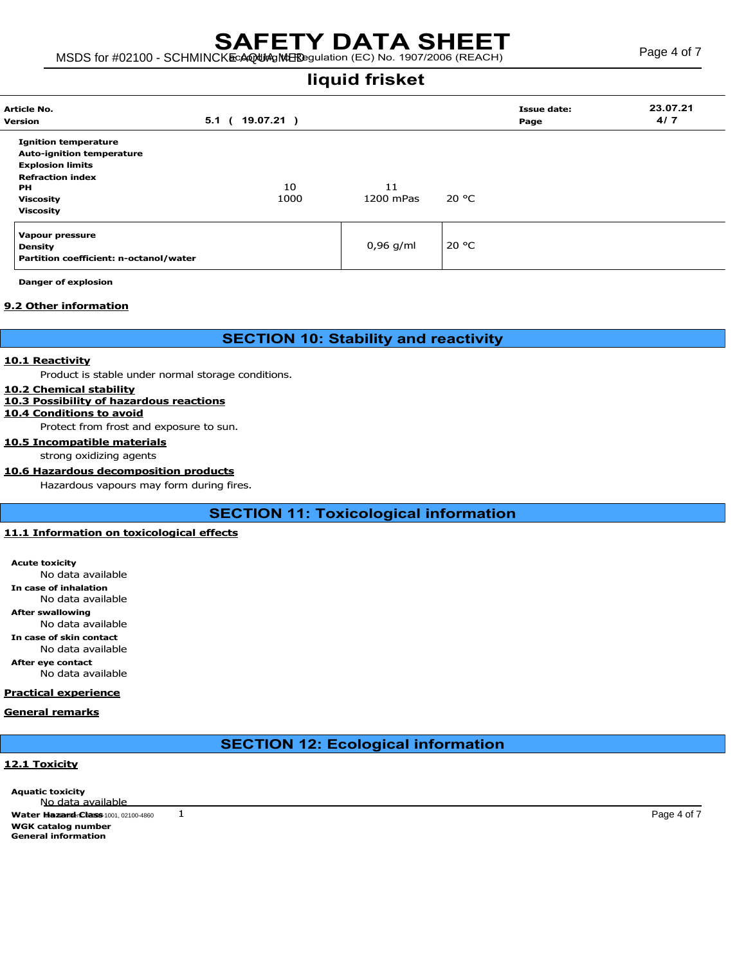## MSDS for #02100 - SCHMINCKE AQUA MEDIC IN CONTROL NO. 1907/2006 (REACH) Page 4 of 7 SAFETY DATA SHEET

liquid frisket

| Article No.<br>Version                                                                                                                                                     | 5.1<br>19.07.21)<br>$\epsilon$ |                 |       | <b>Issue date:</b><br>Page | 23.07.21<br>4/7 |
|----------------------------------------------------------------------------------------------------------------------------------------------------------------------------|--------------------------------|-----------------|-------|----------------------------|-----------------|
| <b>Ignition temperature</b><br><b>Auto-ignition temperature</b><br><b>Explosion limits</b><br><b>Refraction index</b><br><b>PH</b><br><b>Viscosity</b><br><b>Viscosity</b> | 10<br>1000                     | 11<br>1200 mPas | 20 °C |                            |                 |
| <b>Vapour pressure</b><br><b>Density</b><br>Partition coefficient: n-octanol/water                                                                                         |                                | $0,96$ g/ml     | 20 °C |                            |                 |

Danger of explosion

### 9.2 Other information

SECTION 10: Stability and reactivity

#### 10.1 Reactivity

Product is stable under normal storage conditions.

## 10.2 Chemical stability

10.3 Possibility of hazardous reactions

#### 10.4 Conditions to avoid

Protect from frost and exposure to sun.

10.5 Incompatible materials

#### strong oxidizing agents

#### 10.6 Hazardous decomposition products

Hazardous vapours may form during fires.

SECTION 11: Toxicological information

## 11.1 Information on toxicological effects

Acute toxicity No data available In case of inhalation No data available After swallowing No data available

In case of skin contact

No data available

After eye contact

No data available

### Practical experience

General remarks

## SECTION 12: Ecological information

## 12.1 Toxicity

Aquatic toxicity No data available **Water Hazard: Class** 1001, 02100-4860 1 WGK catalog number General information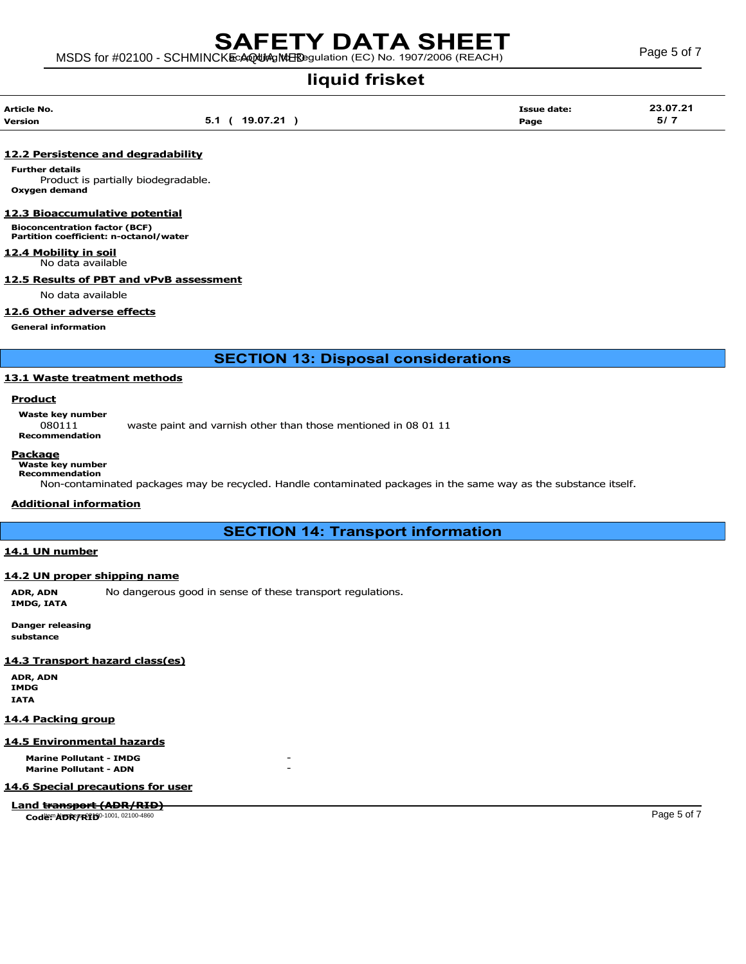liquid frisket

| Article No. |                             | Issue date: |          |
|-------------|-----------------------------|-------------|----------|
|             |                             |             | 23.07.21 |
| Version     | 19 07 21<br>◡<br><br>$\sim$ | Page        | 5/7      |

#### 12.2 Persistence and degradability

Further details Product is partially biodegradable. Oxygen demand

#### 12.3 Bioaccumulative potential

Bioconcentration factor (BCF) Partition coefficient: n-octanol/water

#### 12.4 Mobility in soil

No data available

## 12.5 Results of PBT and vPvB assessment

No data available

#### 12.6 Other adverse effects

General information

SECTION 13: Disposal considerations

#### 13.1 Waste treatment methods

## **Product**

Waste key number

080111 waste paint and varnish other than those mentioned in 08 01 11 Recommendation

## Package

Waste key number Recommendation

Non-contaminated packages may be recycled. Handle contaminated packages in the same way as the substance itself.

#### Additional information

## SECTION 14: Transport information

#### 14.1 UN number

#### 14.2 UN proper shipping name

ADR, ADN No dangerous good in sense of these transport regulations. IMDG, IATA

Danger releasing substance

#### 14.3 Transport hazard class(es)

ADR, ADN IMDG IATA

#### 14.4 Packing group

#### 14.5 Environmental hazards

**Marine Pollutant - IMDG** Marine Pollutant - ADN

#### 14.6 Special precautions for user

Land transport (ADR/RID)

 $\frac{1}{\cosh(\frac{1}{2})^2}$  Code:  $\frac{1}{2}$  Page 5 of 7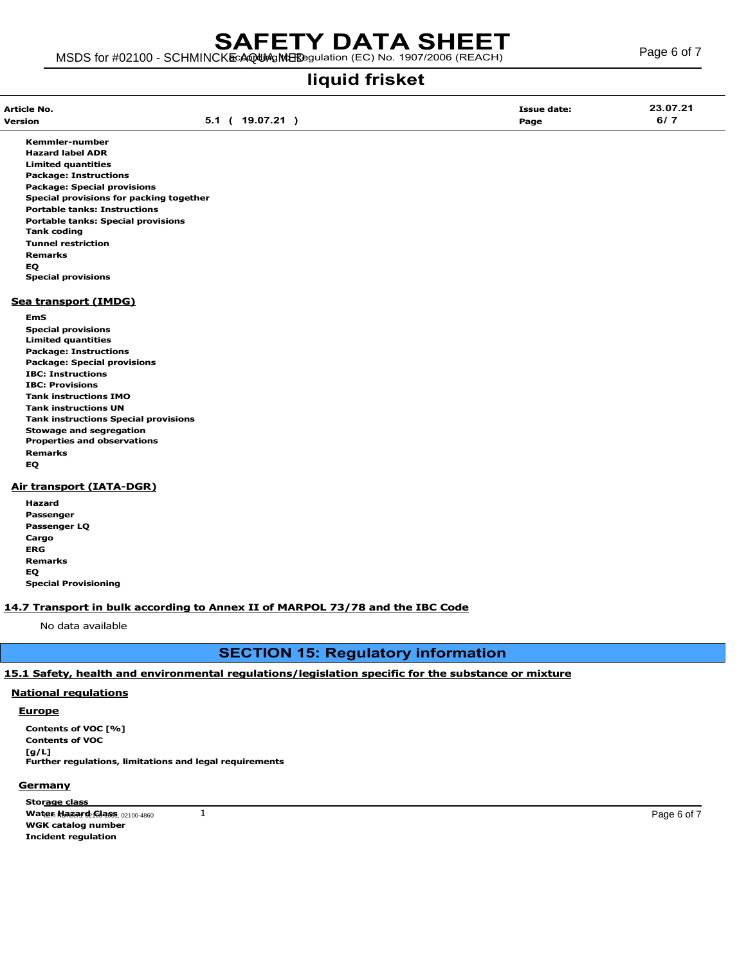MSDS for #02100 - SCHMINCKE AQUA MERE SURFACE C) No. 1907/2006 (REACH) Page 6 of 7

## liquid frisket

Kemmler-number Hazard label ADR Limited quantities Package: Instructions Package: Special provisions Special provisions for packing together Portable tanks: Instructions Portable tanks: Special provisions Tank coding Tunnel restriction Remarks EQ Special provisions

#### Sea transport (IMDG)

- EmS
- Special provisions Limited quantities Package: Instructions Package: Special provisions IBC: Instructions IBC: Provisions Tank instructions IMO Tank instructions UN Tank instructions Special provisions Stowage and segregation Properties and observations Remarks EQ

## Air transport (IATA-DGR)

| Hazard                      |
|-----------------------------|
| Passenger                   |
| Passenger LQ                |
| Cargo                       |
| ERG                         |
| <b>Remarks</b>              |
| EQ                          |
| <b>Special Provisioning</b> |

## 14.7 Transport in bulk according to Annex II of MARPOL 73/78 and the IBC Code

No data available

## SECTION 15: Regulatory information

#### 15.1 Safety, health and environmental regulations/legislation specific for the substance or mixture

#### National regulations

#### Europe

Contents of VOC [%] Contents of VOC [g/L] Further regulations, limitations and legal requirements

#### **Germany**

Storage class  $\bf{W}$ ater Hazard: Glass 192100-4860  $\bf{1}$ WGK catalog number Incident regulation